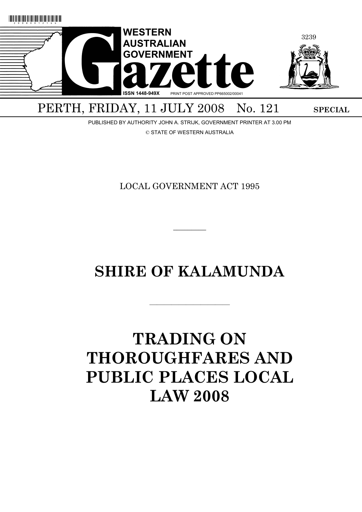

## PERTH, FRIDAY, 11 JULY 2008 No. 121 SPECIAL

PUBLISHED BY AUTHORITY JOHN A. STRIJK, GOVERNMENT PRINTER AT 3.00 PM

© STATE OF WESTERN AUSTRALIA

LOCAL GOVERNMENT ACT 1995

 $\overline{\phantom{a}}$   $\overline{\phantom{a}}$ 

## **SHIRE OF KALAMUNDA**

———————————

# **TRADING ON THOROUGHFARES AND PUBLIC PLACES LOCAL LAW 2008**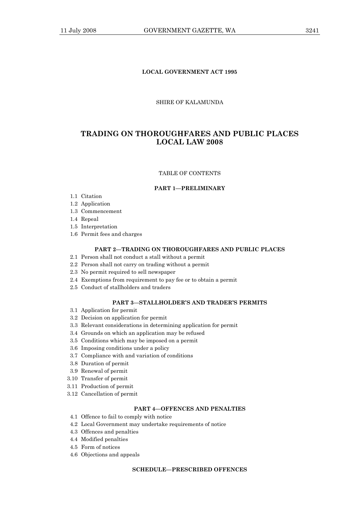## **LOCAL GOVERNMENT ACT 1995**

## SHIRE OF KALAMUNDA

## **TRADING ON THOROUGHFARES AND PUBLIC PLACES LOCAL LAW 2008**

## TABLE OF CONTENTS

#### **PART 1—PRELIMINARY**

- 1.1 Citation
- 1.2 Application
- 1.3 Commencement
- 1.4 Repeal
- 1.5 Interpretation
- 1.6 Permit fees and charges

## **PART 2—TRADING ON THOROUGHFARES AND PUBLIC PLACES**

- 2.1 Person shall not conduct a stall without a permit
- 2.2 Person shall not carry on trading without a permit
- 2.3 No permit required to sell newspaper
- 2.4 Exemptions from requirement to pay fee or to obtain a permit
- 2.5 Conduct of stallholders and traders

## **PART 3—STALLHOLDER'S AND TRADER'S PERMITS**

- 3.1 Application for permit
- 3.2 Decision on application for permit
- 3.3 Relevant considerations in determining application for permit
- 3.4 Grounds on which an application may be refused
- 3.5 Conditions which may be imposed on a permit
- 3.6 Imposing conditions under a policy
- 3.7 Compliance with and variation of conditions
- 3.8 Duration of permit
- 3.9 Renewal of permit
- 3.10 Transfer of permit
- 3.11 Production of permit
- 3.12 Cancellation of permit

## **PART 4—OFFENCES AND PENALTIES**

- 4.1 Offence to fail to comply with notice
- 4.2 Local Government may undertake requirements of notice
- 4.3 Offences and penalties
- 4.4 Modified penalties
- 4.5 Form of notices
- 4.6 Objections and appeals

## **SCHEDULE—PRESCRIBED OFFENCES**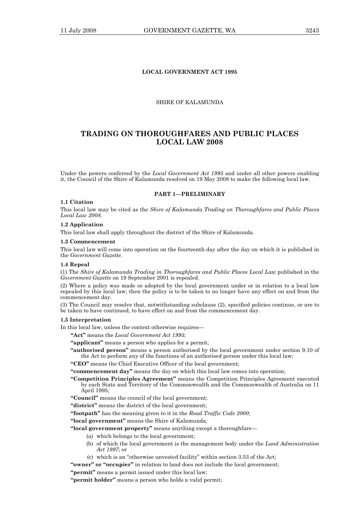## **LOCAL GOVERNMENT ACT 1995**

## SHIRE OF KALAMUNDA

## **TRADING ON THOROUGHFARES AND PUBLIC PLACES LOCAL LAW 2008**

Under the powers conferred by the *Local Government Act 1995* and under all other powers enabling it, the Council of the Shire of Kalamunda resolved on 19 May 2008 to make the following local law.

#### **PART 1—PRELIMINARY**

## **1.1 Citation**

This local law may be cited as the *Shire of Kalamunda Trading on Thoroughfares and Public Places Local Law 2008*.

#### **1.2 Application**

This local law shall apply throughout the district of the Shire of Kalamunda.

#### **1.3 Commencement**

This local law will come into operation on the fourteenth day after the day on which it is published in the *Government Gazette*.

#### **1.4 Repeal**

(1) The *Shire of Kalamunda Trading in Thoroughfares and Public Places Local Law* published in the *Government Gazette* on 19 September 2001 is repealed.

(2) Where a policy was made or adopted by the local government under or in relation to a local law repealed by this local law, then the policy is to be taken to no longer have any effect on and from the commencement day.

(3) The Council may resolve that, notwithstanding subclause (2), specified policies continue, or are to be taken to have continued, to have effect on and from the commencement day.

#### **1.5 Interpretation**

In this local law, unless the context otherwise requires—

**"Act"** means the *Local Government Act 1995*;

**"applicant"** means a person who applies for a permit;

**"authorised person"** means a person authorised by the local government under section 9.10 of the Act to perform any of the functions of an authorised person under this local law;

**"CEO"** means the Chief Executive Officer of the local government;

**"commencement day"** means the day on which this local law comes into operation;

- **"Competition Principles Agreement"** means the Competition Principles Agreement executed by each State and Territory of the Commonwealth and the Commonwealth of Australia on 11 April 1995;
- **"Council"** means the council of the local government;

**"district"** means the district of the local government;

**"footpath"** has the meaning given to it in the *Road Traffic Code 2000*;

**"local government"** means the Shire of Kalamunda*;*

**"local government property"** means anything except a thoroughfare—

- (a) which belongs to the local government;
- (b) of which the local government is the management body under the *Land Administration Act 1997*; or
- (c) which is an "otherwise unvested facility" within section 3.53 of the Act;
- **"owner" or "occupier"** in relation to land does not include the local government;

**"permit"** means a permit issued under this local law;

**"permit holder"** means a person who holds a valid permit;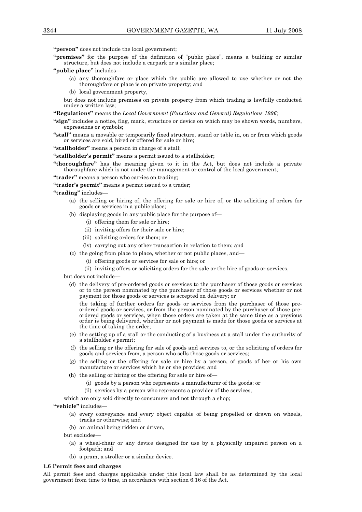**"person"** does not include the local government;

- **"premises"** for the purpose of the definition of "public place", means a building or similar structure, but does not include a carpark or a similar place;
- **"public place"** includes—
	- (a) any thoroughfare or place which the public are allowed to use whether or not the thoroughfare or place is on private property; and
	- (b) local government property,

but does not include premises on private property from which trading is lawfully conducted under a written law;

**"Regulations"** means the *Local Government (Functions and General) Regulations 1996*;

- **"sign"** includes a notice, flag, mark, structure or device on which may be shown words, numbers, expressions or symbols;
- **"stall"** means a movable or temporarily fixed structure, stand or table in, on or from which goods or services are sold, hired or offered for sale or hire;

**"stallholder"** means a person in charge of a stall;

**"stallholder's permit"** means a permit issued to a stallholder;

**"thoroughfare"** has the meaning given to it in the Act, but does not include a private thoroughfare which is not under the management or control of the local government;

**"trader"** means a person who carries on trading;

**"trader's permit"** means a permit issued to a trader;

**"trading"** includes—

- (a) the selling or hiring of, the offering for sale or hire of, or the soliciting of orders for goods or services in a public place;
- (b) displaying goods in any public place for the purpose of—
	- (i) offering them for sale or hire;
	- (ii) inviting offers for their sale or hire;
	- (iii) soliciting orders for them; or
	- (iv) carrying out any other transaction in relation to them; and
- (c) the going from place to place, whether or not public places, and—
	- (i) offering goods or services for sale or hire; or
	- (ii) inviting offers or soliciting orders for the sale or the hire of goods or services,

but does not include—

 (d) the delivery of pre-ordered goods or services to the purchaser of those goods or services or to the person nominated by the purchaser of those goods or services whether or not payment for those goods or services is accepted on delivery; or

 the taking of further orders for goods or services from the purchaser of those preordered goods or services, or from the person nominated by the purchaser of those preordered goods or services, when those orders are taken at the same time as a previous order is being delivered, whether or not payment is made for those goods or services at the time of taking the order;

- (e) the setting up of a stall or the conducting of a business at a stall under the authority of a stallholder's permit;
- (f) the selling or the offering for sale of goods and services to, or the soliciting of orders for goods and services from, a person who sells those goods or services;
- (g) the selling or the offering for sale or hire by a person, of goods of her or his own manufacture or services which he or she provides; and
- (h) the selling or hiring or the offering for sale or hire of-
	- (i) goods by a person who represents a manufacturer of the goods; or
	- (ii) services by a person who represents a provider of the services,

which are only sold directly to consumers and not through a shop;

**"vehicle"** includes—

- (a) every conveyance and every object capable of being propelled or drawn on wheels, tracks or otherwise; and
- (b) an animal being ridden or driven,
- but excludes—
	- (a) a wheel-chair or any device designed for use by a physically impaired person on a footpath; and
	- (b) a pram, a stroller or a similar device.

#### **1.6 Permit fees and charges**

All permit fees and charges applicable under this local law shall be as determined by the local government from time to time, in accordance with section 6.16 of the Act.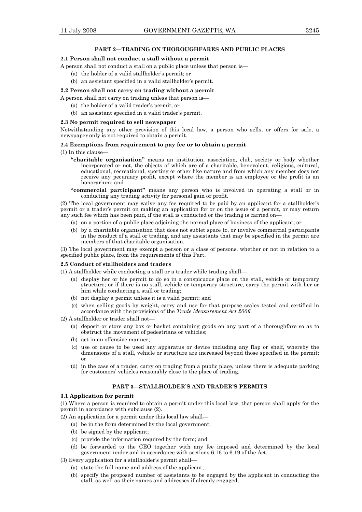#### **2.1 Person shall not conduct a stall without a permit**

A person shall not conduct a stall on a public place unless that person is—

- (a) the holder of a valid stallholder's permit; or
- (b) an assistant specified in a valid stallholder's permit.

#### **2.2 Person shall not carry on trading without a permit**

A person shall not carry on trading unless that person is—

- (a) the holder of a valid trader's permit; or
- (b) an assistant specified in a valid trader's permit.

#### **2.3 No permit required to sell newspaper**

Notwithstanding any other provision of this local law, a person who sells, or offers for sale, a newspaper only is not required to obtain a permit.

#### **2.4 Exemptions from requirement to pay fee or to obtain a permit**

(1) In this clause—

- **"charitable organisation"** means an institution, association, club, society or body whether incorporated or not, the objects of which are of a charitable, benevolent, religious, cultural, educational, recreational, sporting or other like nature and from which any member does not receive any pecuniary profit, except where the member is an employee or the profit is an honorarium; and
- **"commercial participant"** means any person who is involved in operating a stall or in conducting any trading activity for personal gain or profit.

(2) The local government may waive any fee required to be paid by an applicant for a stallholder's permit or a trader's permit on making an application for or on the issue of a permit, or may return any such fee which has been paid, if the stall is conducted or the trading is carried on—

- (a) on a portion of a public place adjoining the normal place of business of the applicant; or
- (b) by a charitable organisation that does not sublet space to, or involve commercial participants in the conduct of a stall or trading, and any assistants that may be specified in the permit are members of that charitable organisation.

(3) The local government may exempt a person or a class of persons, whether or not in relation to a specified public place, from the requirements of this Part.

#### **2.5 Conduct of stallholders and traders**

(1) A stallholder while conducting a stall or a trader while trading shall—

- (a) display her or his permit to do so in a conspicuous place on the stall, vehicle or temporary structure; or if there is no stall, vehicle or temporary structure, carry the permit with her or him while conducting a stall or trading;
- (b) not display a permit unless it is a valid permit; and
- (c) when selling goods by weight, carry and use for that purpose scales tested and certified in accordance with the provisions of the *Trade Measurement Act 2006*.

#### (2) A stallholder or trader shall not—

- (a) deposit or store any box or basket containing goods on any part of a thoroughfare so as to obstruct the movement of pedestrians or vehicles;
- (b) act in an offensive manner;
- (c) use or cause to be used any apparatus or device including any flap or shelf, whereby the dimensions of a stall, vehicle or structure are increased beyond those specified in the permit; or
- (d) in the case of a trader, carry on trading from a public place, unless there is adequate parking for customers' vehicles reasonably close to the place of trading.

#### **PART 3—STALLHOLDER'S AND TRADER'S PERMITS**

## **3.1 Application for permit**

(1) Where a person is required to obtain a permit under this local law, that person shall apply for the permit in accordance with subclause (2).

(2) An application for a permit under this local law shall—

- (a) be in the form determined by the local government;
	- (b) be signed by the applicant;
	- (c) provide the information required by the form; and
- (d) be forwarded to the CEO together with any fee imposed and determined by the local government under and in accordance with sections 6.16 to 6.19 of the Act.
- (3) Every application for a stallholder's permit shall—
	- (a) state the full name and address of the applicant;
	- (b) specify the proposed number of assistants to be engaged by the applicant in conducting the stall, as well as their names and addresses if already engaged;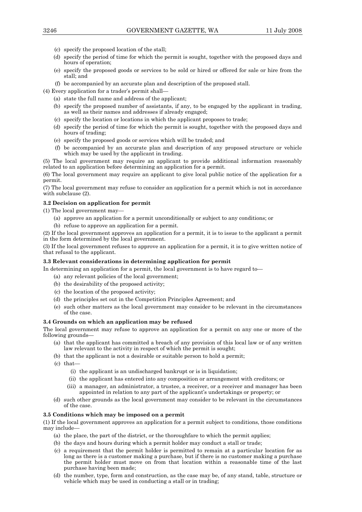- (c) specify the proposed location of the stall;
- (d) specify the period of time for which the permit is sought, together with the proposed days and hours of operation;
- (e) specify the proposed goods or services to be sold or hired or offered for sale or hire from the stall; and
- (f) be accompanied by an accurate plan and description of the proposed stall.

(4) Every application for a trader's permit shall—

- (a) state the full name and address of the applicant;
- (b) specify the proposed number of assistants, if any, to be engaged by the applicant in trading, as well as their names and addresses if already engaged;
- (c) specify the location or locations in which the applicant proposes to trade;
- (d) specify the period of time for which the permit is sought, together with the proposed days and hours of trading;
- (e) specify the proposed goods or services which will be traded; and
- (f) be accompanied by an accurate plan and description of any proposed structure or vehicle which may be used by the applicant in trading.

(5) The local government may require an applicant to provide additional information reasonably related to an application before determining an application for a permit.

(6) The local government may require an applicant to give local public notice of the application for a permit.

(7) The local government may refuse to consider an application for a permit which is not in accordance with subclause (2).

## **3.2 Decision on application for permit**

(1) The local government may—

- (a) approve an application for a permit unconditionally or subject to any conditions; or
- (b) refuse to approve an application for a permit.

(2) If the local government approves an application for a permit, it is to issue to the applicant a permit in the form determined by the local government.

(3) If the local government refuses to approve an application for a permit, it is to give written notice of that refusal to the applicant.

## **3.3 Relevant considerations in determining application for permit**

In determining an application for a permit, the local government is to have regard to

- (a) any relevant policies of the local government;
- (b) the desirability of the proposed activity;
- (c) the location of the proposed activity;
- (d) the principles set out in the Competition Principles Agreement; and
- (e) such other matters as the local government may consider to be relevant in the circumstances of the case.

## **3.4 Grounds on which an application may be refused**

The local government may refuse to approve an application for a permit on any one or more of the following grounds—

- (a) that the applicant has committed a breach of any provision of this local law or of any written law relevant to the activity in respect of which the permit is sought;
- (b) that the applicant is not a desirable or suitable person to hold a permit;
- (c) that—
	- (i) the applicant is an undischarged bankrupt or is in liquidation;
	- (ii) the applicant has entered into any composition or arrangement with creditors; or
	- (iii) a manager, an administrator, a trustee, a receiver, or a receiver and manager has been appointed in relation to any part of the applicant's undertakings or property; or
- (d) such other grounds as the local government may consider to be relevant in the circumstances of the case.

## **3.5 Conditions which may be imposed on a permit**

(1) If the local government approves an application for a permit subject to conditions, those conditions may include—

- (a) the place, the part of the district, or the thoroughfare to which the permit applies;
- (b) the days and hours during which a permit holder may conduct a stall or trade;
- (c) a requirement that the permit holder is permitted to remain at a particular location for as long as there is a customer making a purchase, but if there is no customer making a purchase the permit holder must move on from that location within a reasonable time of the last purchase having been made;
	- (d) the number, type, form and construction, as the case may be, of any stand, table, structure or vehicle which may be used in conducting a stall or in trading;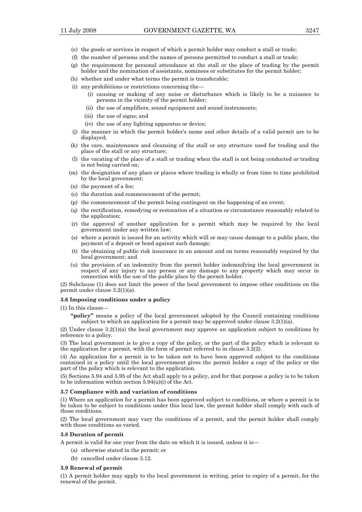- (e) the goods or services in respect of which a permit holder may conduct a stall or trade;
- (f) the number of persons and the names of persons permitted to conduct a stall or trade;
- (g) the requirement for personal attendance at the stall or the place of trading by the permit holder and the nomination of assistants, nominees or substitutes for the permit holder;
- (h) whether and under what terms the permit is transferable;
- (i) any prohibitions or restrictions concerning the—
	- (i) causing or making of any noise or disturbance which is likely to be a nuisance to persons in the vicinity of the permit holder;
	- (ii) the use of amplifiers, sound equipment and sound instruments;
	- (iii) the use of signs; and
	- (iv) the use of any lighting apparatus or device;
- (j) the manner in which the permit holder's name and other details of a valid permit are to be displayed;
- (k) the care, maintenance and cleansing of the stall or any structure used for trading and the place of the stall or any structure;
- (l) the vacating of the place of a stall or trading when the stall is not being conducted or trading is not being carried on;
- (m) the designation of any place or places where trading is wholly or from time to time prohibited by the local government;
- (n) the payment of a fee;
- (o) the duration and commencement of the permit;
- (p) the commencement of the permit being contingent on the happening of an event;
- (q) the rectification, remedying or restoration of a situation or circumstance reasonably related to the application;
- (r) the approval of another application for a permit which may be required by the local government under any written law;
- (s) where a permit is issued for an activity which will or may cause damage to a public place, the payment of a deposit or bond against such damage;
- (t) the obtaining of public risk insurance in an amount and on terms reasonably required by the local government; and
- (u) the provision of an indemnity from the permit holder indemnifying the local government in respect of any injury to any person or any damage to any property which may occur in connection with the use of the public place by the permit holder.

(2) Subclause (1) does not limit the power of the local government to impose other conditions on the permit under clause 3.2(1)(a).

#### **3.6 Imposing conditions under a policy**

#### (1) In this clause—

**"policy"** means a policy of the local government adopted by the Council containing conditions subject to which an application for a permit may be approved under clause  $3.2(1)(a)$ .

(2) Under clause 3.2(1)(a) the local government may approve an application subject to conditions by reference to a policy.

(3) The local government is to give a copy of the policy, or the part of the policy which is relevant to the application for a permit, with the form of permit referred to in clause 3.2(2).

(4) An application for a permit is to be taken not to have been approved subject to the conditions contained in a policy until the local government gives the permit holder a copy of the policy or the part of the policy which is relevant to the application.

(5) Sections 5.94 and 5.95 of the Act shall apply to a policy, and for that purpose a policy is to be taken to be information within section  $5.94(u)(i)$  of the Act.

#### **3.7 Compliance with and variation of conditions**

(1) Where an application for a permit has been approved subject to conditions, or where a permit is to be taken to be subject to conditions under this local law, the permit holder shall comply with each of those conditions.

(2) The local government may vary the conditions of a permit, and the permit holder shall comply with those conditions as varied.

#### **3.8 Duration of permit**

A permit is valid for one year from the date on which it is issued, unless it is—

- (a) otherwise stated in the permit; or
- (b) cancelled under clause 3.12.

#### **3.9 Renewal of permit**

(1) A permit holder may apply to the local government in writing, prior to expiry of a permit, for the renewal of the permit.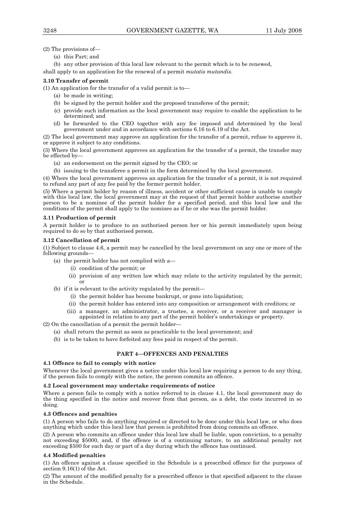(2) The provisions of—

(a) this Part; and

 (b) any other provision of this local law relevant to the permit which is to be renewed, shall apply to an application for the renewal of a permit *mutatis mutandis*.

## **3.10 Transfer of permit**

(1) An application for the transfer of a valid permit is to—

- (a) be made in writing;
- (b) be signed by the permit holder and the proposed transferee of the permit;
- (c) provide such information as the local government may require to enable the application to be determined; and
- (d) be forwarded to the CEO together with any fee imposed and determined by the local government under and in accordance with sections 6.16 to 6.19 of the Act.

(2) The local government may approve an application for the transfer of a permit, refuse to approve it, or approve it subject to any conditions.

(3) Where the local government approves an application for the transfer of a permit, the transfer may be effected by—

- (a) an endorsement on the permit signed by the CEO; or
- (b) issuing to the transferee a permit in the form determined by the local government.

(4) Where the local government approves an application for the transfer of a permit, it is not required to refund any part of any fee paid by the former permit holder.

(5) Where a permit holder by reason of illness, accident or other sufficient cause is unable to comply with this local law, the local government may at the request of that permit holder authorise another person to be a nominee of the permit holder for a specified period, and this local law and the conditions of the permit shall apply to the nominee as if he or she was the permit holder.

## **3.11 Production of permit**

A permit holder is to produce to an authorised person her or his permit immediately upon being required to do so by that authorised person.

## **3.12 Cancellation of permit**

(1) Subject to clause 4.6, a permit may be cancelled by the local government on any one or more of the following grounds—

- (a) the permit holder has not complied with a—
	- (i) condition of the permit; or
	- (ii) provision of any written law which may relate to the activity regulated by the permit; or
- (b) if it is relevant to the activity regulated by the permit—
	- (i) the permit holder has become bankrupt, or gone into liquidation;
	- (ii) the permit holder has entered into any composition or arrangement with creditors; or
	- (iii) a manager, an administrator, a trustee, a receiver, or a receiver and manager is appointed in relation to any part of the permit holder's undertakings or property.

(2) On the cancellation of a permit the permit holder—

- (a) shall return the permit as soon as practicable to the local government; and
- (b) is to be taken to have forfeited any fees paid in respect of the permit.

## **PART 4—OFFENCES AND PENALTIES**

## **4.1 Offence to fail to comply with notice**

Whenever the local government gives a notice under this local law requiring a person to do any thing. if the person fails to comply with the notice, the person commits an offence.

## **4.2 Local government may undertake requirements of notice**

Where a person fails to comply with a notice referred to in clause 4.1, the local government may do the thing specified in the notice and recover from that person, as a debt, the costs incurred in so doing.

## **4.3 Offences and penalties**

(1) A person who fails to do anything required or directed to be done under this local law, or who does anything which under this local law that person is prohibited from doing commits an offence.

(2) A person who commits an offence under this local law shall be liable, upon conviction, to a penalty not exceeding \$5000, and, if the offence is of a continuing nature, to an additional penalty not exceeding \$500 for each day or part of a day during which the offence has continued.

## **4.4 Modified penalties**

(1) An offence against a clause specified in the Schedule is a prescribed offence for the purposes of section 9.16(1) of the Act.

(2) The amount of the modified penalty for a prescribed offence is that specified adjacent to the clause in the Schedule.